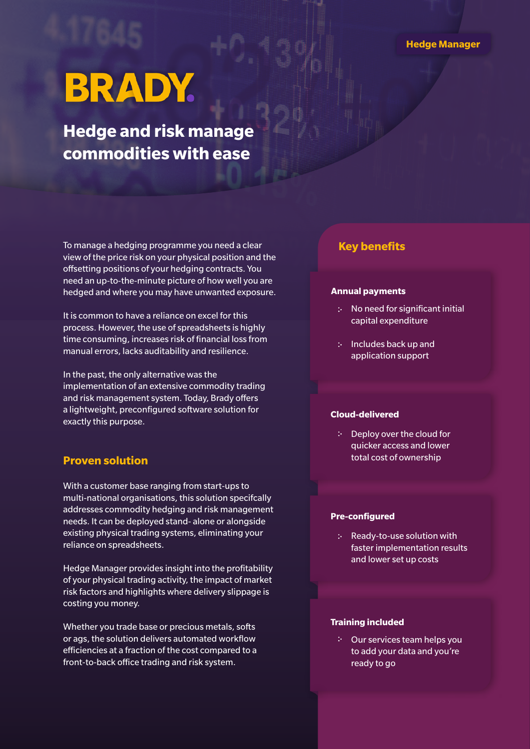# **BRADY.**

**Hedge and risk manage commodities with ease**

To manage a hedging programme you need a clear view of the price risk on your physical position and the offsetting positions of your hedging contracts. You need an up-to-the-minute picture of how well you are hedged and where you may have unwanted exposure.

It is common to have a reliance on excel for this process. However, the use of spreadsheets is highly time consuming, increases risk of financial loss from manual errors, lacks auditability and resilience.

In the past, the only alternative was the implementation of an extensive commodity trading and risk management system. Today, Brady offers a lightweight, preconfigured software solution for exactly this purpose.

## **Proven solution**

With a customer base ranging from start-ups to multi-national organisations, this solution specifcally addresses commodity hedging and risk management needs. It can be deployed stand- alone or alongside existing physical trading systems, eliminating your reliance on spreadsheets.

Hedge Manager provides insight into the profitability of your physical trading activity, the impact of market risk factors and highlights where delivery slippage is costing you money.

Whether you trade base or precious metals, softs or ags, the solution delivers automated workflow efficiencies at a fraction of the cost compared to a front-to-back office trading and risk system.

# **Key benefits**

#### **Annual payments**

- No need for significant initial capital expenditure
- : Includes back up and application support

## **Cloud-delivered**

 $\therefore$  Deploy over the cloud for quicker access and lower total cost of ownership

#### **Pre-configured**

 $\therefore$  Ready-to-use solution with faster implementation results and lower set up costs

#### **Training included**

Our services team helps you to add your data and you're ready to go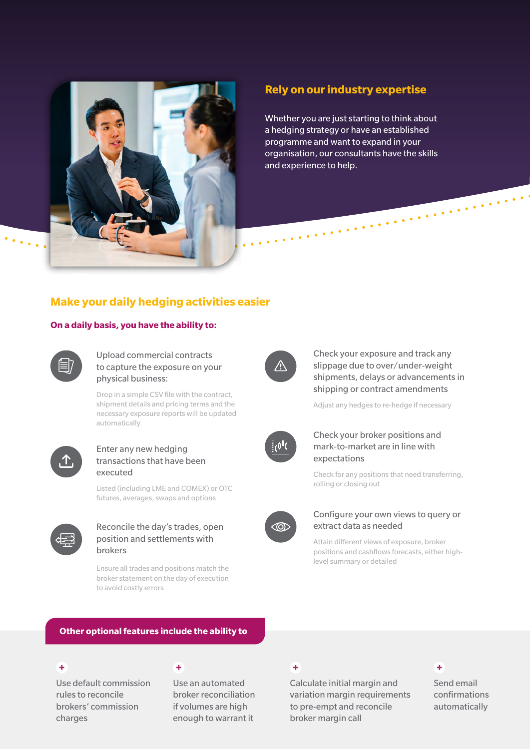

# **Rely on our industry expertise**

Whether you are just starting to think about a hedging strategy or have an established programme and want to expand in your organisation, our consultants have the skills and experience to help.

# **Make your daily hedging activities easier**

#### **On a daily basis, you have the ability to:**



Upload commercial contracts to capture the exposure on your physical business:

Drop in a simple CSV file with the contract, shipment details and pricing terms and the necessary exposure reports will be updated automatically



#### Enter any new hedging transactions that have been executed

Listed (including LME and COMEX) or OTC futures, averages, swaps and options



#### Reconcile the day's trades, open position and settlements with brokers

Ensure all trades and positions match the broker statement on the day of execution to avoid costly errors



Check your exposure and track any slippage due to over/under-weight shipments, delays or advancements in shipping or contract amendments

Adjust any hedges to re-hedge if necessary



## Check your broker positions and mark-to-market are in line with expectations

Check for any positions that need transferring, rolling or closing out



#### Configure your own views to query or extract data as needed

Attain different views of exposure, broker positions and cashflows forecasts, either highlevel summary or detailed

#### **Other optional features include the ability to**

Use default commission rules to reconcile brokers' commission charges

Use an automated broker reconciliation if volumes are high enough to warrant it

Calculate initial margin and variation margin requirements to pre-empt and reconcile broker margin call

#### $+$  +  $+$  +  $+$  +  $+$  +  $+$  +  $+$  +  $+$  +  $+$  +  $+$  +  $+$

Send email confirmations automatically